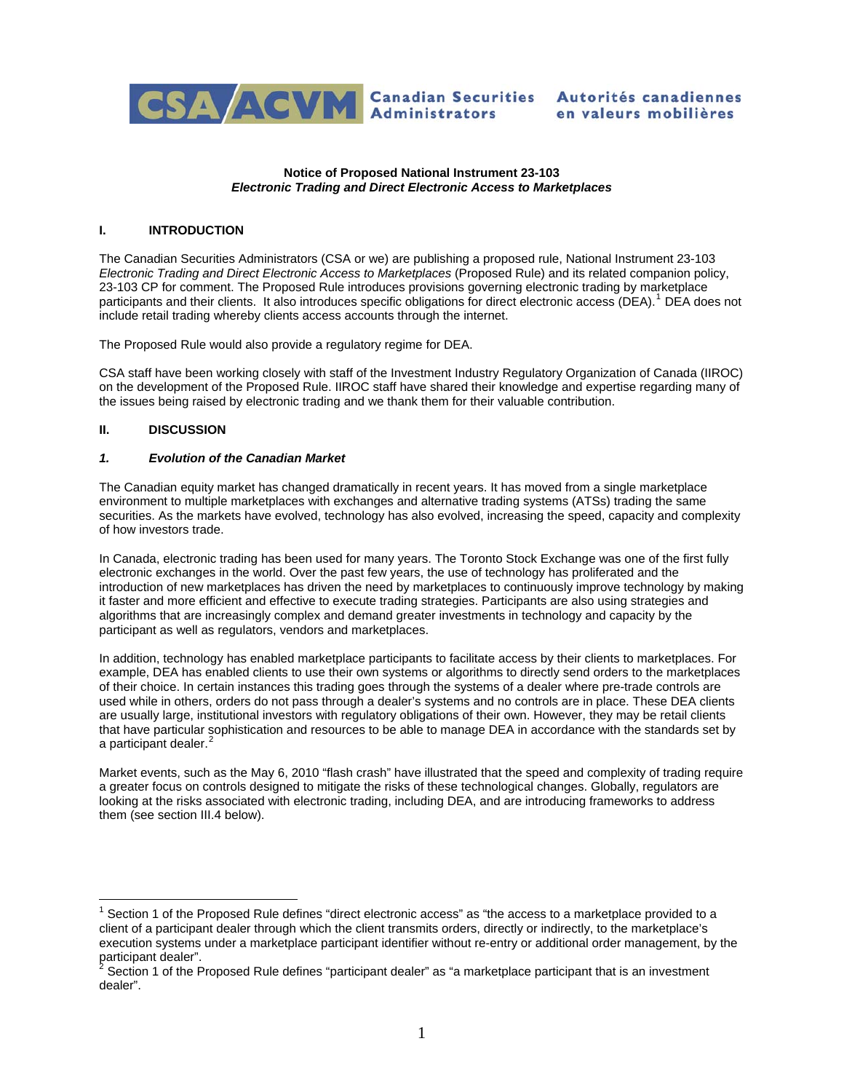

### **Notice of Proposed National Instrument 23-103**  *Electronic Trading and Direct Electronic Access to Marketplaces*

## **I. INTRODUCTION**

The Canadian Securities Administrators (CSA or we) are publishing a proposed rule, National Instrument 23-103 *Electronic Trading and Direct Electronic Access to Marketplaces* (Proposed Rule) and its related companion policy, 23-103 CP for comment. The Proposed Rule introduces provisions governing electronic trading by marketplace participants and their clients. It also introduces specific obligations for direct electronic access (DEA).<sup>[1](#page-0-0)</sup> DEA does not include retail trading whereby clients access accounts through the internet.

The Proposed Rule would also provide a regulatory regime for DEA.

CSA staff have been working closely with staff of the Investment Industry Regulatory Organization of Canada (IIROC) on the development of the Proposed Rule. IIROC staff have shared their knowledge and expertise regarding many of the issues being raised by electronic trading and we thank them for their valuable contribution.

## **II. DISCUSSION**

 $\overline{a}$ 

### *1. Evolution of the Canadian Market*

The Canadian equity market has changed dramatically in recent years. It has moved from a single marketplace environment to multiple marketplaces with exchanges and alternative trading systems (ATSs) trading the same securities. As the markets have evolved, technology has also evolved, increasing the speed, capacity and complexity of how investors trade.

In Canada, electronic trading has been used for many years. The Toronto Stock Exchange was one of the first fully electronic exchanges in the world. Over the past few years, the use of technology has proliferated and the introduction of new marketplaces has driven the need by marketplaces to continuously improve technology by making it faster and more efficient and effective to execute trading strategies. Participants are also using strategies and algorithms that are increasingly complex and demand greater investments in technology and capacity by the participant as well as regulators, vendors and marketplaces.

In addition, technology has enabled marketplace participants to facilitate access by their clients to marketplaces. For example, DEA has enabled clients to use their own systems or algorithms to directly send orders to the marketplaces of their choice. In certain instances this trading goes through the systems of a dealer where pre-trade controls are used while in others, orders do not pass through a dealer's systems and no controls are in place. These DEA clients are usually large, institutional investors with regulatory obligations of their own. However, they may be retail clients that have particular sophistication and resources to be able to manage DEA in accordance with the standards set by a participant dealer.<sup>[2](#page-0-1)</sup>

Market events, such as the May 6, 2010 "flash crash" have illustrated that the speed and complexity of trading require a greater focus on controls designed to mitigate the risks of these technological changes. Globally, regulators are looking at the risks associated with electronic trading, including DEA, and are introducing frameworks to address them (see section III.4 below).

<span id="page-0-0"></span> $1$  Section 1 of the Proposed Rule defines "direct electronic access" as "the access to a marketplace provided to a client of a participant dealer through which the client transmits orders, directly or indirectly, to the marketplace's execution systems under a marketplace participant identifier without re-entry or additional order management, by the participant dealer".<br><sup>2</sup> Section 1 of the D

<span id="page-0-1"></span>Section 1 of the Proposed Rule defines "participant dealer" as "a marketplace participant that is an investment dealer".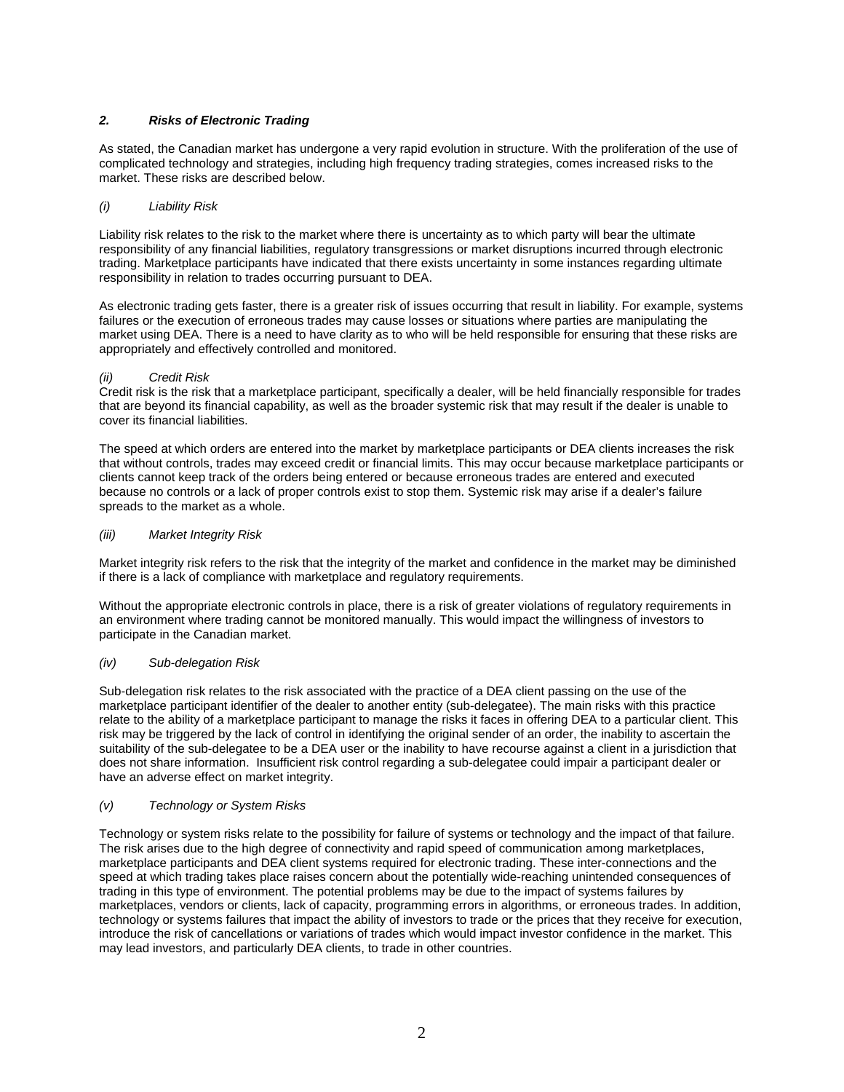# *2. Risks of Electronic Trading*

As stated, the Canadian market has undergone a very rapid evolution in structure. With the proliferation of the use of complicated technology and strategies, including high frequency trading strategies, comes increased risks to the market. These risks are described below.

### *(i) Liability Risk*

Liability risk relates to the risk to the market where there is uncertainty as to which party will bear the ultimate responsibility of any financial liabilities, regulatory transgressions or market disruptions incurred through electronic trading. Marketplace participants have indicated that there exists uncertainty in some instances regarding ultimate responsibility in relation to trades occurring pursuant to DEA.

As electronic trading gets faster, there is a greater risk of issues occurring that result in liability. For example, systems failures or the execution of erroneous trades may cause losses or situations where parties are manipulating the market using DEA. There is a need to have clarity as to who will be held responsible for ensuring that these risks are appropriately and effectively controlled and monitored.

### *(ii) Credit Risk*

Credit risk is the risk that a marketplace participant, specifically a dealer, will be held financially responsible for trades that are beyond its financial capability, as well as the broader systemic risk that may result if the dealer is unable to cover its financial liabilities.

The speed at which orders are entered into the market by marketplace participants or DEA clients increases the risk that without controls, trades may exceed credit or financial limits. This may occur because marketplace participants or clients cannot keep track of the orders being entered or because erroneous trades are entered and executed because no controls or a lack of proper controls exist to stop them. Systemic risk may arise if a dealer's failure spreads to the market as a whole.

#### *(iii) Market Integrity Risk*

Market integrity risk refers to the risk that the integrity of the market and confidence in the market may be diminished if there is a lack of compliance with marketplace and regulatory requirements.

Without the appropriate electronic controls in place, there is a risk of greater violations of regulatory requirements in an environment where trading cannot be monitored manually. This would impact the willingness of investors to participate in the Canadian market.

### *(iv) Sub-delegation Risk*

Sub-delegation risk relates to the risk associated with the practice of a DEA client passing on the use of the marketplace participant identifier of the dealer to another entity (sub-delegatee). The main risks with this practice relate to the ability of a marketplace participant to manage the risks it faces in offering DEA to a particular client. This risk may be triggered by the lack of control in identifying the original sender of an order, the inability to ascertain the suitability of the sub-delegatee to be a DEA user or the inability to have recourse against a client in a jurisdiction that does not share information. Insufficient risk control regarding a sub-delegatee could impair a participant dealer or have an adverse effect on market integrity.

### *(v) Technology or System Risks*

Technology or system risks relate to the possibility for failure of systems or technology and the impact of that failure. The risk arises due to the high degree of connectivity and rapid speed of communication among marketplaces, marketplace participants and DEA client systems required for electronic trading. These inter-connections and the speed at which trading takes place raises concern about the potentially wide-reaching unintended consequences of trading in this type of environment. The potential problems may be due to the impact of systems failures by marketplaces, vendors or clients, lack of capacity, programming errors in algorithms, or erroneous trades. In addition, technology or systems failures that impact the ability of investors to trade or the prices that they receive for execution, introduce the risk of cancellations or variations of trades which would impact investor confidence in the market. This may lead investors, and particularly DEA clients, to trade in other countries.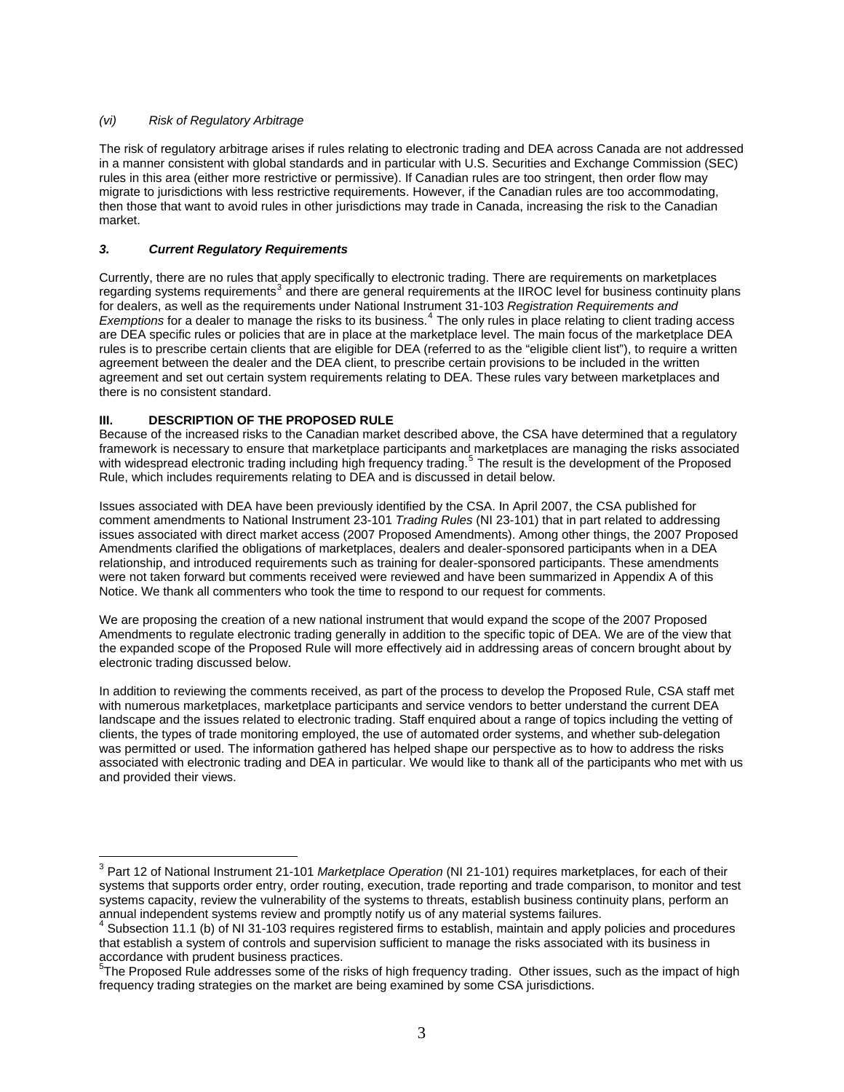## *(vi) Risk of Regulatory Arbitrage*

The risk of regulatory arbitrage arises if rules relating to electronic trading and DEA across Canada are not addressed in a manner consistent with global standards and in particular with U.S. Securities and Exchange Commission (SEC) rules in this area (either more restrictive or permissive). If Canadian rules are too stringent, then order flow may migrate to jurisdictions with less restrictive requirements. However, if the Canadian rules are too accommodating, then those that want to avoid rules in other jurisdictions may trade in Canada, increasing the risk to the Canadian market.

# *3. Current Regulatory Requirements*

Currently, there are no rules that apply specifically to electronic trading. There are requirements on marketplaces regarding systems requirements<sup>[3](#page-2-0)</sup> and there are general requirements at the IIROC level for business continuity plans for dealers, as well as the requirements under National Instrument 31-103 *Registration Requirements and*  Exemptions for a dealer to manage the risks to its business.<sup>[4](#page-2-1)</sup> The only rules in place relating to client trading access are DEA specific rules or policies that are in place at the marketplace level. The main focus of the marketplace DEA rules is to prescribe certain clients that are eligible for DEA (referred to as the "eligible client list"), to require a written agreement between the dealer and the DEA client, to prescribe certain provisions to be included in the written agreement and set out certain system requirements relating to DEA. These rules vary between marketplaces and there is no consistent standard.

## **III. DESCRIPTION OF THE PROPOSED RULE**

 $\overline{a}$ 

Because of the increased risks to the Canadian market described above, the CSA have determined that a regulatory framework is necessary to ensure that marketplace participants and marketplaces are managing the risks associated with widespread electronic trading including high frequency trading.<sup>[5](#page-2-2)</sup> The result is the development of the Proposed Rule, which includes requirements relating to DEA and is discussed in detail below.

Issues associated with DEA have been previously identified by the CSA. In April 2007, the CSA published for comment amendments to National Instrument 23-101 *Trading Rules* (NI 23-101) that in part related to addressing issues associated with direct market access (2007 Proposed Amendments). Among other things, the 2007 Proposed Amendments clarified the obligations of marketplaces, dealers and dealer-sponsored participants when in a DEA relationship, and introduced requirements such as training for dealer-sponsored participants. These amendments were not taken forward but comments received were reviewed and have been summarized in Appendix A of this Notice. We thank all commenters who took the time to respond to our request for comments.

We are proposing the creation of a new national instrument that would expand the scope of the 2007 Proposed Amendments to regulate electronic trading generally in addition to the specific topic of DEA. We are of the view that the expanded scope of the Proposed Rule will more effectively aid in addressing areas of concern brought about by electronic trading discussed below.

In addition to reviewing the comments received, as part of the process to develop the Proposed Rule, CSA staff met with numerous marketplaces, marketplace participants and service vendors to better understand the current DEA landscape and the issues related to electronic trading. Staff enquired about a range of topics including the vetting of clients, the types of trade monitoring employed, the use of automated order systems, and whether sub-delegation was permitted or used. The information gathered has helped shape our perspective as to how to address the risks associated with electronic trading and DEA in particular. We would like to thank all of the participants who met with us and provided their views.

<span id="page-2-0"></span><sup>3</sup> Part 12 of National Instrument 21-101 *Marketplace Operation* (NI 21-101) requires marketplaces, for each of their systems that supports order entry, order routing, execution, trade reporting and trade comparison, to monitor and test systems capacity, review the vulnerability of the systems to threats, establish business continuity plans, perform an

<span id="page-2-1"></span>annual independent systems review and promptly notify us of any material systems failures.<br><sup>4</sup> Subsection 11.1 (b) of NI 31-103 requires registered firms to establish, maintain and apply policies and procedures that establish a system of controls and supervision sufficient to manage the risks associated with its business in accordance with prudent business practices.

<span id="page-2-2"></span><sup>&</sup>lt;sup>5</sup>The Proposed Rule addresses some of the risks of high frequency trading. Other issues, such as the impact of high frequency trading strategies on the market are being examined by some CSA jurisdictions.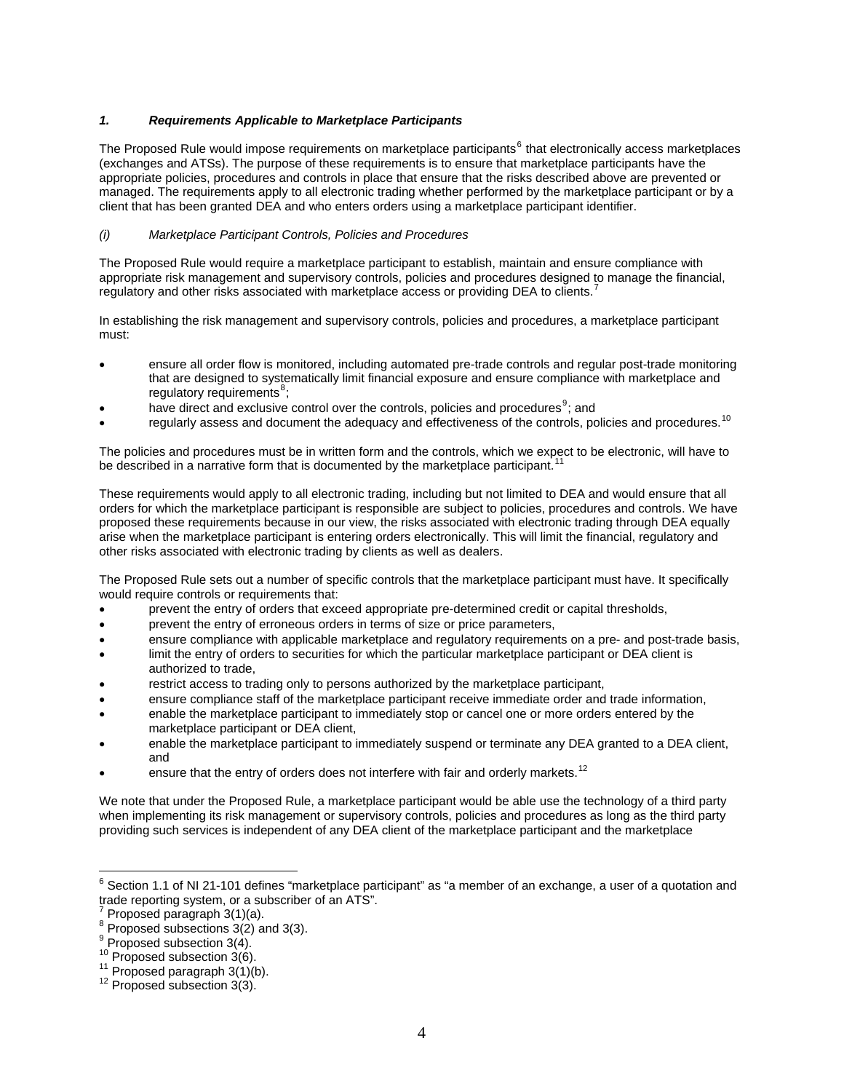## *1. Requirements Applicable to Marketplace Participants*

The Proposed Rule would impose requirements on marketplace participants<sup>[6](#page-3-0)</sup> that electronically access marketplaces (exchanges and ATSs). The purpose of these requirements is to ensure that marketplace participants have the appropriate policies, procedures and controls in place that ensure that the risks described above are prevented or managed. The requirements apply to all electronic trading whether performed by the marketplace participant or by a client that has been granted DEA and who enters orders using a marketplace participant identifier.

## *(i) Marketplace Participant Controls, Policies and Procedures*

The Proposed Rule would require a marketplace participant to establish, maintain and ensure compliance with appropriate risk management and supervisory controls, policies and procedures designed to manage the financial, regulatory and other risks associated with marketplace access or providing DEA to clients.<sup>[7](#page-3-1)</sup>

In establishing the risk management and supervisory controls, policies and procedures, a marketplace participant must:

- ensure all order flow is monitored, including automated pre-trade controls and regular post-trade monitoring that are designed to systematically limit financial exposure and ensure compliance with marketplace and regulatory requirements<sup>[8](#page-3-2)</sup>;
- have direct and exclusive control over the controls, policies and procedures<sup>[9](#page-3-3)</sup>; and
- regularly assess and document the adequacy and effectiveness of the controls, policies and procedures.<sup>[10](#page-3-4)</sup>

The policies and procedures must be in written form and the controls, which we expect to be electronic, will have to be described in a narrative form that is documented by the marketplace participant.

These requirements would apply to all electronic trading, including but not limited to DEA and would ensure that all orders for which the marketplace participant is responsible are subject to policies, procedures and controls. We have proposed these requirements because in our view, the risks associated with electronic trading through DEA equally arise when the marketplace participant is entering orders electronically. This will limit the financial, regulatory and other risks associated with electronic trading by clients as well as dealers.

The Proposed Rule sets out a number of specific controls that the marketplace participant must have. It specifically would require controls or requirements that:

- prevent the entry of orders that exceed appropriate pre-determined credit or capital thresholds,
- prevent the entry of erroneous orders in terms of size or price parameters,
- ensure compliance with applicable marketplace and regulatory requirements on a pre- and post-trade basis,
- limit the entry of orders to securities for which the particular marketplace participant or DEA client is authorized to trade,
- restrict access to trading only to persons authorized by the marketplace participant,
- ensure compliance staff of the marketplace participant receive immediate order and trade information,
- enable the marketplace participant to immediately stop or cancel one or more orders entered by the marketplace participant or DEA client,
- enable the marketplace participant to immediately suspend or terminate any DEA granted to a DEA client, and
- ensure that the entry of orders does not interfere with fair and orderly markets.<sup>[12](#page-3-6)</sup>

We note that under the Proposed Rule, a marketplace participant would be able use the technology of a third party when implementing its risk management or supervisory controls, policies and procedures as long as the third party providing such services is independent of any DEA client of the marketplace participant and the marketplace

 $\overline{\phantom{a}}$ 

<span id="page-3-0"></span> $^6$  Section 1.1 of NI 21-101 defines "marketplace participant" as "a member of an exchange, a user of a quotation and trade reporting system, or a subscriber of an ATS".<br><sup>7</sup> Prepased persorabb 3(1)(o)

<span id="page-3-1"></span>Proposed paragraph 3(1)(a).

<span id="page-3-2"></span> $8$  Proposed subsections  $3(2)$  and 3(3).

<span id="page-3-3"></span> $9$  Proposed subsection 3(4).

<span id="page-3-5"></span><span id="page-3-4"></span><sup>&</sup>lt;sup>10</sup> Proposed subsection 3(6).<br><sup>11</sup> Proposed paragraph 3(1)(b).<br><sup>12</sup> Proposed subsection 3(3).

<span id="page-3-6"></span>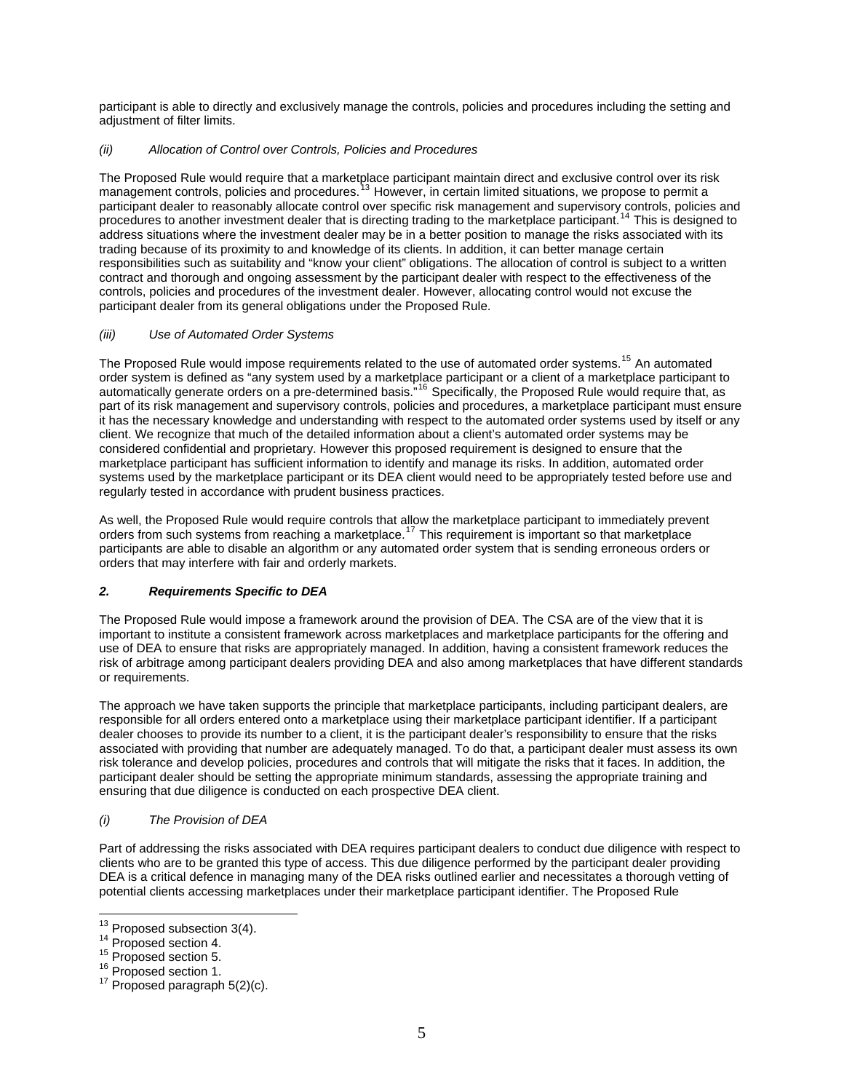participant is able to directly and exclusively manage the controls, policies and procedures including the setting and adjustment of filter limits.

## *(ii) Allocation of Control over Controls, Policies and Procedures*

The Proposed Rule would require that a marketplace participant maintain direct and exclusive control over its risk management controls, policies and procedures.<sup>[13](#page-4-0)</sup> However, in certain limited situations, we propose to permit a participant dealer to reasonably allocate control over specific risk management and supervisory controls, policies and procedures to another investment dealer that is directing trading to the marketplace participant.<sup>[14](#page-4-1)</sup> This is designed to address situations where the investment dealer may be in a better position to manage the risks associated with its trading because of its proximity to and knowledge of its clients. In addition, it can better manage certain responsibilities such as suitability and "know your client" obligations. The allocation of control is subject to a written contract and thorough and ongoing assessment by the participant dealer with respect to the effectiveness of the controls, policies and procedures of the investment dealer. However, allocating control would not excuse the participant dealer from its general obligations under the Proposed Rule.

## *(iii) Use of Automated Order Systems*

The Proposed Rule would impose requirements related to the use of automated order systems.<sup>[15](#page-4-2)</sup> An automated order system is defined as "any system used by a marketplace participant or a client of a marketplace participant to automatically generate orders on a pre-determined basis."<sup>[16](#page-4-3)</sup> Specifically, the Proposed Rule would require that, as part of its risk management and supervisory controls, policies and procedures, a marketplace participant must ensure it has the necessary knowledge and understanding with respect to the automated order systems used by itself or any client. We recognize that much of the detailed information about a client's automated order systems may be considered confidential and proprietary. However this proposed requirement is designed to ensure that the marketplace participant has sufficient information to identify and manage its risks. In addition, automated order systems used by the marketplace participant or its DEA client would need to be appropriately tested before use and regularly tested in accordance with prudent business practices.

As well, the Proposed Rule would require controls that allow the marketplace participant to immediately prevent orders from such systems from reaching a marketplace.[17](#page-4-4) This requirement is important so that marketplace participants are able to disable an algorithm or any automated order system that is sending erroneous orders or orders that may interfere with fair and orderly markets.

# *2. Requirements Specific to DEA*

The Proposed Rule would impose a framework around the provision of DEA. The CSA are of the view that it is important to institute a consistent framework across marketplaces and marketplace participants for the offering and use of DEA to ensure that risks are appropriately managed. In addition, having a consistent framework reduces the risk of arbitrage among participant dealers providing DEA and also among marketplaces that have different standards or requirements.

The approach we have taken supports the principle that marketplace participants, including participant dealers, are responsible for all orders entered onto a marketplace using their marketplace participant identifier. If a participant dealer chooses to provide its number to a client, it is the participant dealer's responsibility to ensure that the risks associated with providing that number are adequately managed. To do that, a participant dealer must assess its own risk tolerance and develop policies, procedures and controls that will mitigate the risks that it faces. In addition, the participant dealer should be setting the appropriate minimum standards, assessing the appropriate training and ensuring that due diligence is conducted on each prospective DEA client.

### *(i) The Provision of DEA*

Part of addressing the risks associated with DEA requires participant dealers to conduct due diligence with respect to clients who are to be granted this type of access. This due diligence performed by the participant dealer providing DEA is a critical defence in managing many of the DEA risks outlined earlier and necessitates a thorough vetting of potential clients accessing marketplaces under their marketplace participant identifier. The Proposed Rule

<span id="page-4-0"></span><sup>&</sup>lt;sup>13</sup> Proposed subsection 3(4).

<span id="page-4-2"></span>

<span id="page-4-4"></span><span id="page-4-3"></span>

<span id="page-4-1"></span><sup>&</sup>lt;sup>14</sup> Proposed section 4.<br><sup>15</sup> Proposed section 5.<br><sup>16</sup> Proposed section 1.<br><sup>17</sup> Proposed paragraph 5(2)(c).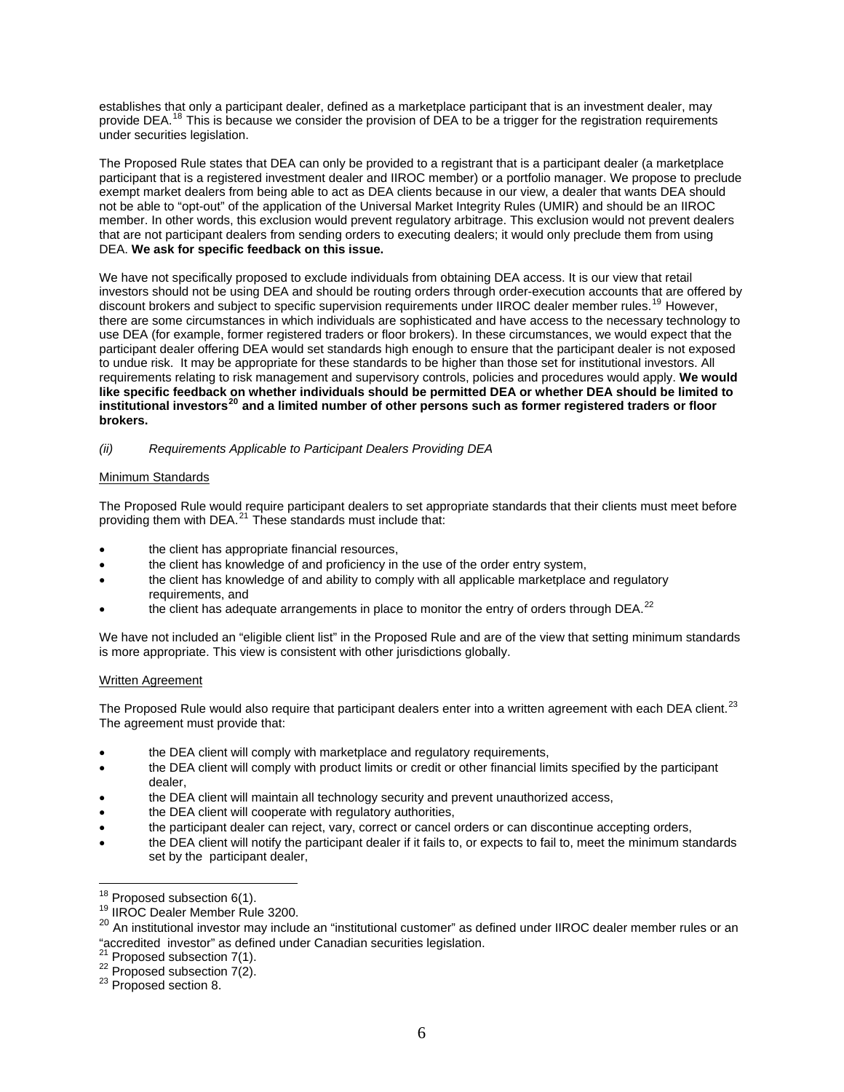establishes that only a participant dealer, defined as a marketplace participant that is an investment dealer, may provide DEA.<sup>[18](#page-5-0)</sup> This is because we consider the provision of DEA to be a trigger for the registration requirements under securities legislation.

The Proposed Rule states that DEA can only be provided to a registrant that is a participant dealer (a marketplace participant that is a registered investment dealer and IIROC member) or a portfolio manager. We propose to preclude exempt market dealers from being able to act as DEA clients because in our view, a dealer that wants DEA should not be able to "opt-out" of the application of the Universal Market Integrity Rules (UMIR) and should be an IIROC member. In other words, this exclusion would prevent regulatory arbitrage. This exclusion would not prevent dealers that are not participant dealers from sending orders to executing dealers; it would only preclude them from using DEA. **We ask for specific feedback on this issue.** 

We have not specifically proposed to exclude individuals from obtaining DEA access. It is our view that retail investors should not be using DEA and should be routing orders through order-execution accounts that are offered by discount brokers and subject to specific supervision requirements under IIROC dealer member rules.<sup>[19](#page-5-1)</sup> However, there are some circumstances in which individuals are sophisticated and have access to the necessary technology to use DEA (for example, former registered traders or floor brokers). In these circumstances, we would expect that the participant dealer offering DEA would set standards high enough to ensure that the participant dealer is not exposed to undue risk. It may be appropriate for these standards to be higher than those set for institutional investors. All requirements relating to risk management and supervisory controls, policies and procedures would apply. **We would like specific feedback on whether individuals should be permitted DEA or whether DEA should be limited to institutional investors[20](#page-5-2) and a limited number of other persons such as former registered traders or floor brokers.** 

## *(ii) Requirements Applicable to Participant Dealers Providing DEA*

# Minimum Standards

The Proposed Rule would require participant dealers to set appropriate standards that their clients must meet before providing them with DEA. $^{21}$  $^{21}$  $^{21}$  These standards must include that:

- the client has appropriate financial resources,
- the client has knowledge of and proficiency in the use of the order entry system,
- the client has knowledge of and ability to comply with all applicable marketplace and regulatory requirements, and
- the client has adequate arrangements in place to monitor the entry of orders through DEA. $^{22}$  $^{22}$  $^{22}$

We have not included an "eligible client list" in the Proposed Rule and are of the view that setting minimum standards is more appropriate. This view is consistent with other jurisdictions globally.

### Written Agreement

The Proposed Rule would also require that participant dealers enter into a written agreement with each DEA client.<sup>[23](#page-5-5)</sup> The agreement must provide that:

- the DEA client will comply with marketplace and regulatory requirements,
- the DEA client will comply with product limits or credit or other financial limits specified by the participant dealer,
- the DEA client will maintain all technology security and prevent unauthorized access,
- the DEA client will cooperate with regulatory authorities,
- the participant dealer can reject, vary, correct or cancel orders or can discontinue accepting orders,
- the DEA client will notify the participant dealer if it fails to, or expects to fail to, meet the minimum standards set by the participant dealer,

<span id="page-5-0"></span> $18$  Proposed subsection 6(1).

<sup>&</sup>lt;sup>19</sup> IIROC Dealer Member Rule 3200.

<span id="page-5-2"></span><span id="page-5-1"></span><sup>&</sup>lt;sup>20</sup> An institutional investor may include an "institutional customer" as defined under IIROC dealer member rules or an "accredited investor" as defined under Canadian securities legislation.<br> $2^1$  Proposed subsection 7(1).

<span id="page-5-4"></span><span id="page-5-3"></span><sup>&</sup>lt;sup>22</sup> Proposed subsection 7(2).<br><sup>23</sup> Proposed section 8.

<span id="page-5-5"></span>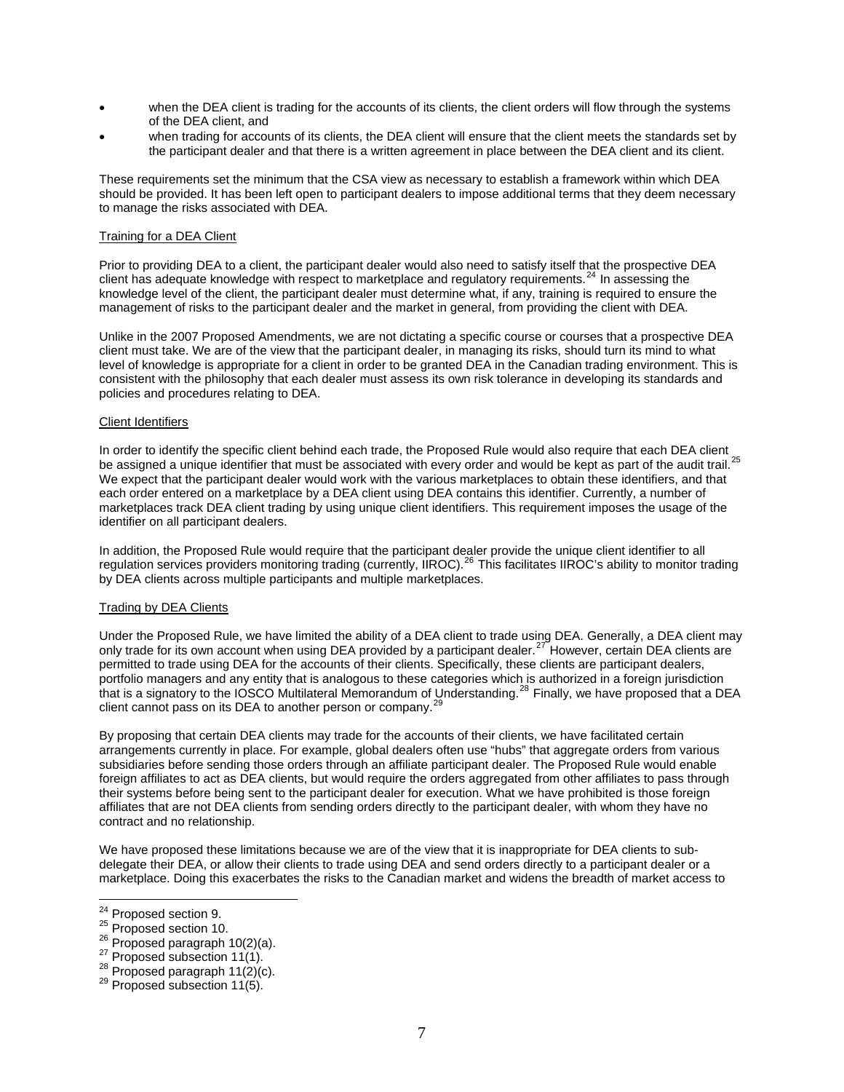- when the DEA client is trading for the accounts of its clients, the client orders will flow through the systems of the DEA client, and
- when trading for accounts of its clients, the DEA client will ensure that the client meets the standards set by the participant dealer and that there is a written agreement in place between the DEA client and its client.

These requirements set the minimum that the CSA view as necessary to establish a framework within which DEA should be provided. It has been left open to participant dealers to impose additional terms that they deem necessary to manage the risks associated with DEA.

#### Training for a DEA Client

Prior to providing DEA to a client, the participant dealer would also need to satisfy itself that the prospective DEA client has adequate knowledge with respect to marketplace and regulatory requirements.<sup>[24](#page-6-0)</sup> In assessing the knowledge level of the client, the participant dealer must determine what, if any, training is required to ensure the management of risks to the participant dealer and the market in general, from providing the client with DEA.

Unlike in the 2007 Proposed Amendments, we are not dictating a specific course or courses that a prospective DEA client must take. We are of the view that the participant dealer, in managing its risks, should turn its mind to what level of knowledge is appropriate for a client in order to be granted DEA in the Canadian trading environment. This is consistent with the philosophy that each dealer must assess its own risk tolerance in developing its standards and policies and procedures relating to DEA.

#### Client Identifiers

In order to identify the specific client behind each trade, the Proposed Rule would also require that each DEA client be assigned a unique identifier that must be associated with every order and would be kept as part of the audit trail.<sup>[25](#page-6-1)</sup> We expect that the participant dealer would work with the various marketplaces to obtain these identifiers, and that each order entered on a marketplace by a DEA client using DEA contains this identifier. Currently, a number of marketplaces track DEA client trading by using unique client identifiers. This requirement imposes the usage of the identifier on all participant dealers.

In addition, the Proposed Rule would require that the participant dealer provide the unique client identifier to all regulation services providers monitoring trading (currently, IIROC).[26](#page-6-2) This facilitates IIROC's ability to monitor trading by DEA clients across multiple participants and multiple marketplaces.

#### Trading by DEA Clients

Under the Proposed Rule, we have limited the ability of a DEA client to trade using DEA. Generally, a DEA client may only trade for its own account when using DEA provided by a participant dealer.<sup>[27](#page-6-3)</sup> However, certain DEA clients are permitted to trade using DEA for the accounts of their clients. Specifically, these clients are participant dealers, portfolio managers and any entity that is analogous to these categories which is authorized in a foreign jurisdiction that is a signatory to the IOSCO Multilateral Memorandum of Understanding.<sup>[28](#page-6-4)</sup> Finally, we have proposed that a DEA client cannot pass on its DEA to another person or company.<sup>2</sup>

By proposing that certain DEA clients may trade for the accounts of their clients, we have facilitated certain arrangements currently in place. For example, global dealers often use "hubs" that aggregate orders from various subsidiaries before sending those orders through an affiliate participant dealer. The Proposed Rule would enable foreign affiliates to act as DEA clients, but would require the orders aggregated from other affiliates to pass through their systems before being sent to the participant dealer for execution. What we have prohibited is those foreign affiliates that are not DEA clients from sending orders directly to the participant dealer, with whom they have no contract and no relationship.

We have proposed these limitations because we are of the view that it is inappropriate for DEA clients to subdelegate their DEA, or allow their clients to trade using DEA and send orders directly to a participant dealer or a marketplace. Doing this exacerbates the risks to the Canadian market and widens the breadth of market access to

<span id="page-6-0"></span><sup>&</sup>lt;sup>24</sup> Proposed section 9.

<span id="page-6-2"></span>

<span id="page-6-1"></span><sup>&</sup>lt;sup>25</sup> Proposed section 10.<br>
<sup>26</sup> Proposed paragraph 10(2)(a).<br>
<sup>27</sup> Proposed subsection 11(1).<br>
<sup>28</sup> Proposed subsection 11(5).<br>
<sup>29</sup> Proposed subsection 11(5).

<span id="page-6-3"></span>

<span id="page-6-4"></span>

<span id="page-6-5"></span>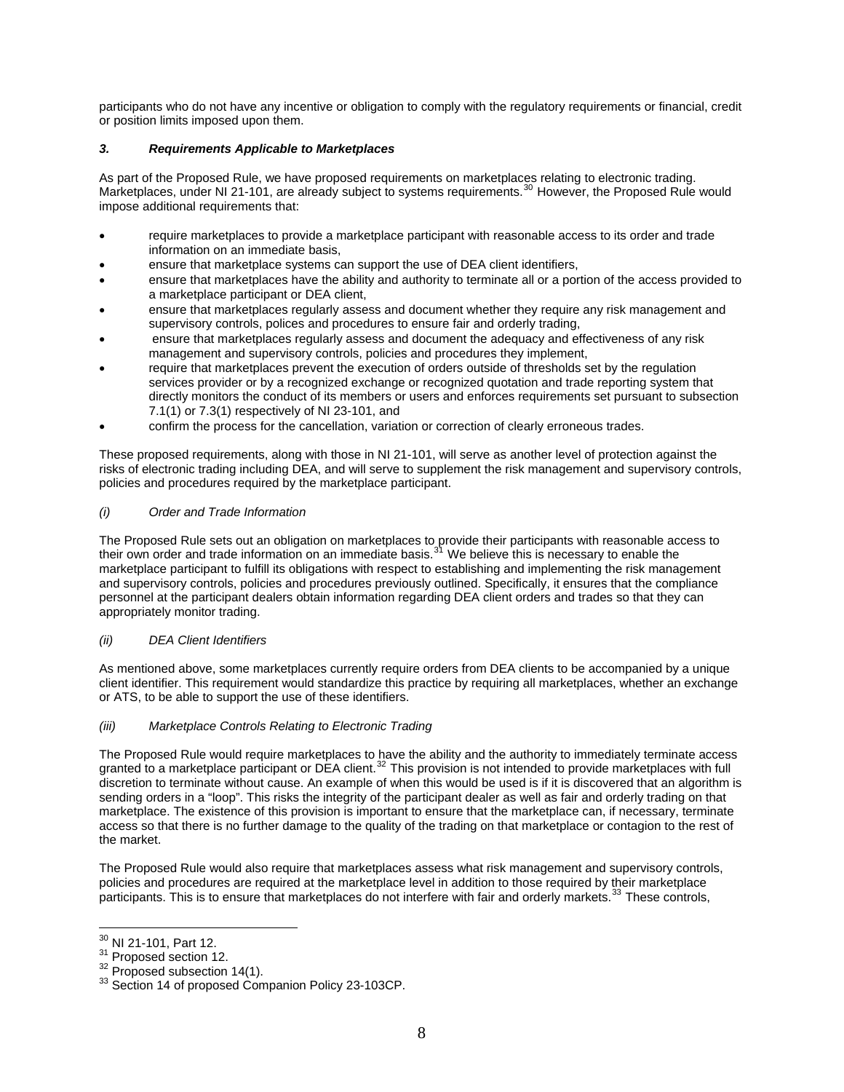participants who do not have any incentive or obligation to comply with the regulatory requirements or financial, credit or position limits imposed upon them.

# *3. Requirements Applicable to Marketplaces*

As part of the Proposed Rule, we have proposed requirements on marketplaces relating to electronic trading. Marketplaces, under NI 21-101, are already subject to systems requirements.<sup>[30](#page-7-0)</sup> However, the Proposed Rule would impose additional requirements that:

- require marketplaces to provide a marketplace participant with reasonable access to its order and trade information on an immediate basis,
- ensure that marketplace systems can support the use of DEA client identifiers,
- ensure that marketplaces have the ability and authority to terminate all or a portion of the access provided to a marketplace participant or DEA client,
- ensure that marketplaces regularly assess and document whether they require any risk management and supervisory controls, polices and procedures to ensure fair and orderly trading,
- ensure that marketplaces regularly assess and document the adequacy and effectiveness of any risk management and supervisory controls, policies and procedures they implement,
- require that marketplaces prevent the execution of orders outside of thresholds set by the regulation services provider or by a recognized exchange or recognized quotation and trade reporting system that directly monitors the conduct of its members or users and enforces requirements set pursuant to subsection 7.1(1) or 7.3(1) respectively of NI 23-101, and
- confirm the process for the cancellation, variation or correction of clearly erroneous trades.

These proposed requirements, along with those in NI 21-101, will serve as another level of protection against the risks of electronic trading including DEA, and will serve to supplement the risk management and supervisory controls, policies and procedures required by the marketplace participant.

## *(i) Order and Trade Information*

The Proposed Rule sets out an obligation on marketplaces to provide their participants with reasonable access to their own order and trade information on an immediate basis.<sup>[31](#page-7-1)</sup> We believe this is necessary to enable the marketplace participant to fulfill its obligations with respect to establishing and implementing the risk management and supervisory controls, policies and procedures previously outlined. Specifically, it ensures that the compliance personnel at the participant dealers obtain information regarding DEA client orders and trades so that they can appropriately monitor trading.

### *(ii) DEA Client Identifiers*

As mentioned above, some marketplaces currently require orders from DEA clients to be accompanied by a unique client identifier. This requirement would standardize this practice by requiring all marketplaces, whether an exchange or ATS, to be able to support the use of these identifiers.

### *(iii) Marketplace Controls Relating to Electronic Trading*

The Proposed Rule would require marketplaces to have the ability and the authority to immediately terminate access granted to a marketplace participant or DEA client.<sup>[32](#page-7-2)</sup> This provision is not intended to provide marketplaces with full discretion to terminate without cause. An example of when this would be used is if it is discovered that an algorithm is sending orders in a "loop". This risks the integrity of the participant dealer as well as fair and orderly trading on that marketplace. The existence of this provision is important to ensure that the marketplace can, if necessary, terminate access so that there is no further damage to the quality of the trading on that marketplace or contagion to the rest of the market.

The Proposed Rule would also require that marketplaces assess what risk management and supervisory controls, policies and procedures are required at the marketplace level in addition to those required by their marketplace participants. This is to ensure that marketplaces do not interfere with fair and orderly markets.<sup>[33](#page-7-3)</sup> These controls,

<sup>&</sup>lt;sup>30</sup> NI 21-101, Part 12.

<span id="page-7-3"></span><span id="page-7-2"></span>

<span id="page-7-1"></span><span id="page-7-0"></span><sup>&</sup>lt;sup>31</sup> Proposed section 12.<br> $32$  Proposed subsection 14(1).<br> $33$  Section 14 of proposed Companion Policy 23-103CP.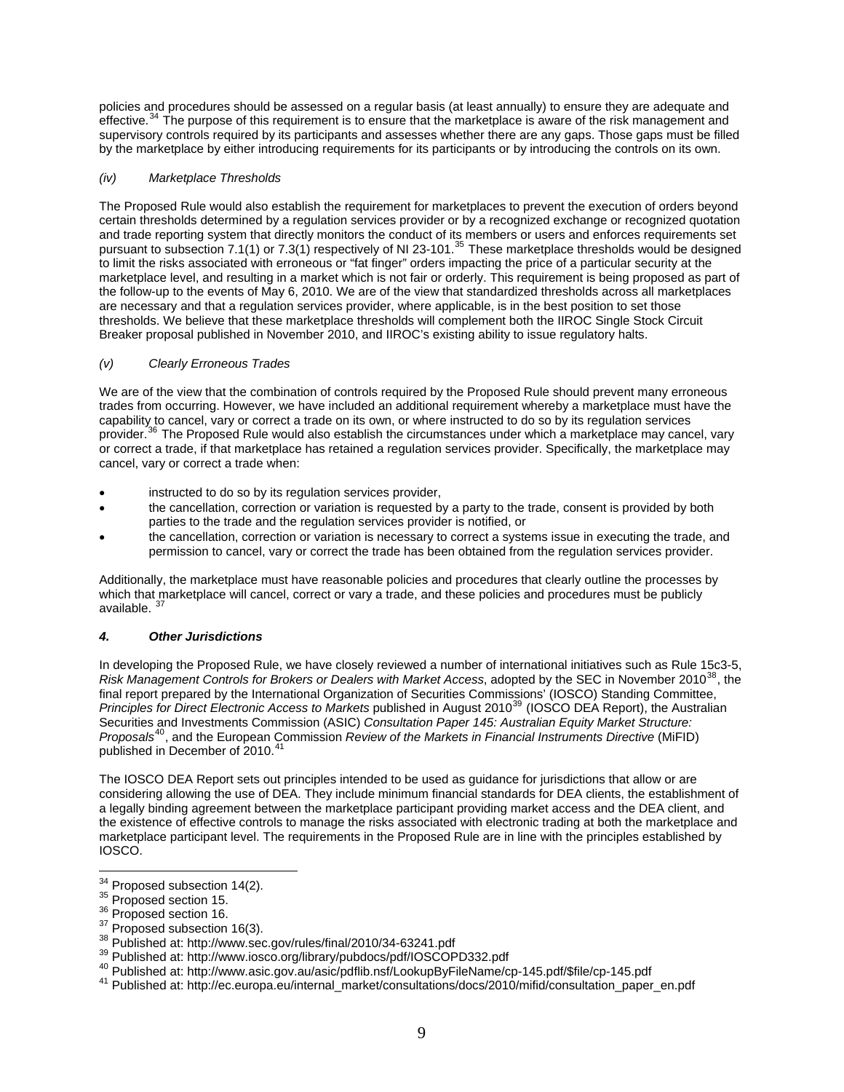policies and procedures should be assessed on a regular basis (at least annually) to ensure they are adequate and effective.<sup>[34](#page-8-0)</sup> The purpose of this requirement is to ensure that the marketplace is aware of the risk management and supervisory controls required by its participants and assesses whether there are any gaps. Those gaps must be filled by the marketplace by either introducing requirements for its participants or by introducing the controls on its own.

# *(iv) Marketplace Thresholds*

The Proposed Rule would also establish the requirement for marketplaces to prevent the execution of orders beyond certain thresholds determined by a regulation services provider or by a recognized exchange or recognized quotation and trade reporting system that directly monitors the conduct of its members or users and enforces requirements set pursuant to subsection 7.1(1) or 7.3(1) respectively of NI 23-101.<sup>[35](#page-8-1)</sup> These marketplace thresholds would be designed to limit the risks associated with erroneous or "fat finger" orders impacting the price of a particular security at the marketplace level, and resulting in a market which is not fair or orderly. This requirement is being proposed as part of the follow-up to the events of May 6, 2010. We are of the view that standardized thresholds across all marketplaces are necessary and that a regulation services provider, where applicable, is in the best position to set those thresholds. We believe that these marketplace thresholds will complement both the IIROC Single Stock Circuit Breaker proposal published in November 2010, and IIROC's existing ability to issue regulatory halts.

## *(v) Clearly Erroneous Trades*

We are of the view that the combination of controls required by the Proposed Rule should prevent many erroneous trades from occurring. However, we have included an additional requirement whereby a marketplace must have the capability to cancel, vary or correct a trade on its own, or where instructed to do so by its regulation services provider.<sup>[36](#page-8-2)</sup> The Proposed Rule would also establish the circumstances under which a marketplace may cancel, vary or correct a trade, if that marketplace has retained a regulation services provider. Specifically, the marketplace may cancel, vary or correct a trade when:

- instructed to do so by its regulation services provider,
- the cancellation, correction or variation is requested by a party to the trade, consent is provided by both parties to the trade and the regulation services provider is notified, or
- the cancellation, correction or variation is necessary to correct a systems issue in executing the trade, and permission to cancel, vary or correct the trade has been obtained from the regulation services provider.

Additionally, the marketplace must have reasonable policies and procedures that clearly outline the processes by which that marketplace will cancel, correct or vary a trade, and these policies and procedures must be publicly available.

# *4. Other Jurisdictions*

In developing the Proposed Rule, we have closely reviewed a number of international initiatives such as Rule 15c3-5, *Risk Management Controls for Brokers or Dealers with Market Access, adopted by the SEC in November 2010*<sup>[38](#page-8-4)</sup>, the final report prepared by the International Organization of Securities Commissions' (IOSCO) Standing Committee, *Principles for Direct Electronic Access to Markets* published in August 2010<sup>[39](#page-8-5)</sup> (IOSCO DEA Report), the Australian Securities and Investments Commission (ASIC) *Consultation Paper 145: Australian Equity Market Structure: Proposals*[40](#page-8-6), and the European Commission *Review of the Markets in Financial Instruments Directive* (MiFID) published in December of 2010.

The IOSCO DEA Report sets out principles intended to be used as guidance for jurisdictions that allow or are considering allowing the use of DEA. They include minimum financial standards for DEA clients, the establishment of a legally binding agreement between the marketplace participant providing market access and the DEA client, and the existence of effective controls to manage the risks associated with electronic trading at both the marketplace and marketplace participant level. The requirements in the Proposed Rule are in line with the principles established by IOSCO.

<span id="page-8-0"></span><sup>&</sup>lt;sup>34</sup> Proposed subsection 14(2).

<span id="page-8-3"></span>

<span id="page-8-4"></span>

<span id="page-8-5"></span>

<span id="page-8-7"></span><span id="page-8-6"></span>

<span id="page-8-2"></span><span id="page-8-1"></span><sup>&</sup>lt;sup>35</sup> Proposed section 15.<br><sup>36</sup> Proposed section 16.<br><sup>37</sup> Proposed subsection 16(3).<br><sup>39</sup> Published at: http://www.sec.gov/rules/final/2010/34-63241.pdf<br><sup>39</sup> Published at: http://www.iosco.org/library/pubdocs/pdf/IOSCOPD332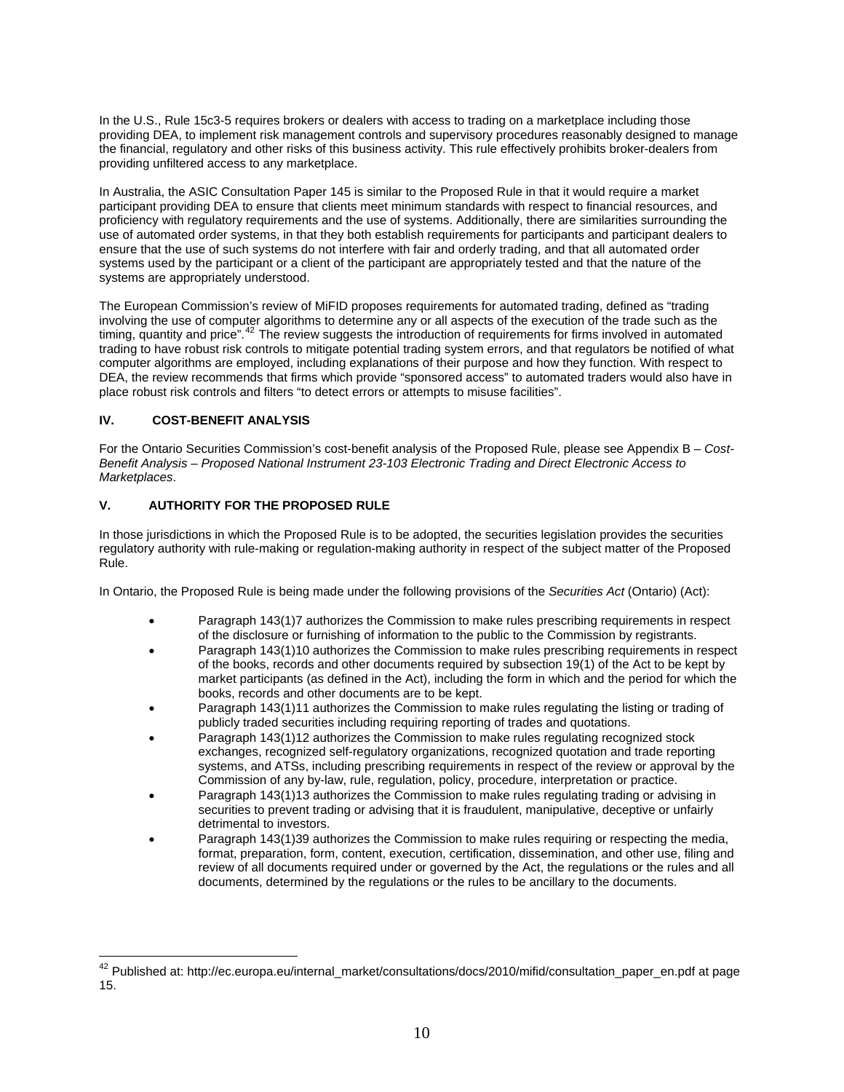In the U.S., Rule 15c3-5 requires brokers or dealers with access to trading on a marketplace including those providing DEA, to implement risk management controls and supervisory procedures reasonably designed to manage the financial, regulatory and other risks of this business activity. This rule effectively prohibits broker-dealers from providing unfiltered access to any marketplace.

In Australia, the ASIC Consultation Paper 145 is similar to the Proposed Rule in that it would require a market participant providing DEA to ensure that clients meet minimum standards with respect to financial resources, and proficiency with regulatory requirements and the use of systems. Additionally, there are similarities surrounding the use of automated order systems, in that they both establish requirements for participants and participant dealers to ensure that the use of such systems do not interfere with fair and orderly trading, and that all automated order systems used by the participant or a client of the participant are appropriately tested and that the nature of the systems are appropriately understood.

The European Commission's review of MiFID proposes requirements for automated trading, defined as "trading involving the use of computer algorithms to determine any or all aspects of the execution of the trade such as the timing, quantity and price".<sup>[42](#page-9-0)</sup> The review suggests the introduction of requirements for firms involved in automated trading to have robust risk controls to mitigate potential trading system errors, and that regulators be notified of what computer algorithms are employed, including explanations of their purpose and how they function. With respect to DEA, the review recommends that firms which provide "sponsored access" to automated traders would also have in place robust risk controls and filters "to detect errors or attempts to misuse facilities".

# **IV. COST-BENEFIT ANALYSIS**

 $\overline{a}$ 

For the Ontario Securities Commission's cost-benefit analysis of the Proposed Rule, please see Appendix B – *Cost-Benefit Analysis – Proposed National Instrument 23-103 Electronic Trading and Direct Electronic Access to Marketplaces*.

# **V. AUTHORITY FOR THE PROPOSED RULE**

In those jurisdictions in which the Proposed Rule is to be adopted, the securities legislation provides the securities regulatory authority with rule-making or regulation-making authority in respect of the subject matter of the Proposed Rule.

In Ontario, the Proposed Rule is being made under the following provisions of the *Securities Act* (Ontario) (Act):

- Paragraph 143(1)7 authorizes the Commission to make rules prescribing requirements in respect of the disclosure or furnishing of information to the public to the Commission by registrants.
- Paragraph 143(1)10 authorizes the Commission to make rules prescribing requirements in respect of the books, records and other documents required by subsection 19(1) of the Act to be kept by market participants (as defined in the Act), including the form in which and the period for which the books, records and other documents are to be kept.
- Paragraph 143(1)11 authorizes the Commission to make rules regulating the listing or trading of publicly traded securities including requiring reporting of trades and quotations.
- Paragraph 143(1)12 authorizes the Commission to make rules regulating recognized stock exchanges, recognized self-regulatory organizations, recognized quotation and trade reporting systems, and ATSs, including prescribing requirements in respect of the review or approval by the Commission of any by-law, rule, regulation, policy, procedure, interpretation or practice.
- Paragraph 143(1)13 authorizes the Commission to make rules regulating trading or advising in securities to prevent trading or advising that it is fraudulent, manipulative, deceptive or unfairly detrimental to investors.
- Paragraph 143(1)39 authorizes the Commission to make rules requiring or respecting the media, format, preparation, form, content, execution, certification, dissemination, and other use, filing and review of all documents required under or governed by the Act, the regulations or the rules and all documents, determined by the regulations or the rules to be ancillary to the documents.

<span id="page-9-0"></span><sup>&</sup>lt;sup>42</sup> Published at: http://ec.europa.eu/internal\_market/consultations/docs/2010/mifid/consultation\_paper\_en.pdf at page 15.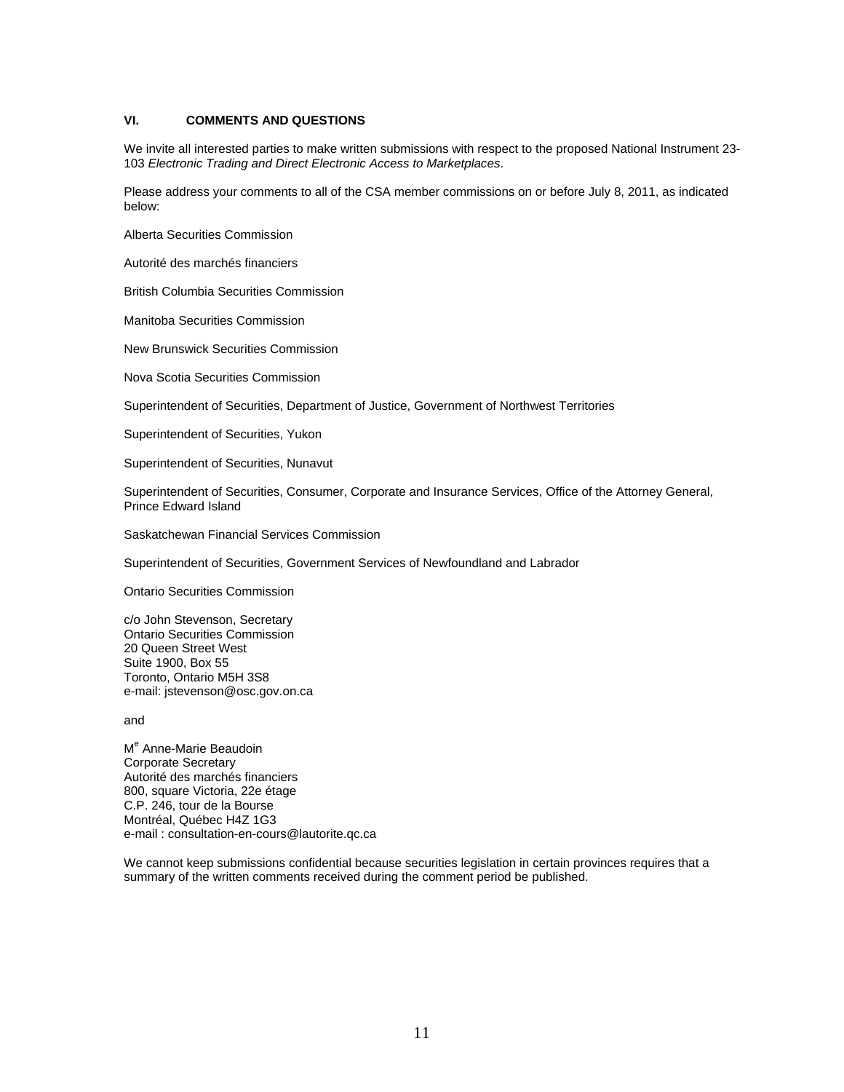## **VI. COMMENTS AND QUESTIONS**

We invite all interested parties to make written submissions with respect to the proposed National Instrument 23- 103 *Electronic Trading and Direct Electronic Access to Marketplaces*.

Please address your comments to all of the CSA member commissions on or before July 8, 2011, as indicated below:

Alberta Securities Commission

Autorité des marchés financiers

British Columbia Securities Commission

Manitoba Securities Commission

New Brunswick Securities Commission

Nova Scotia Securities Commission

Superintendent of Securities, Department of Justice, Government of Northwest Territories

Superintendent of Securities, Yukon

Superintendent of Securities, Nunavut

Superintendent of Securities, Consumer, Corporate and Insurance Services, Office of the Attorney General, Prince Edward Island

Saskatchewan Financial Services Commission

Superintendent of Securities, Government Services of Newfoundland and Labrador

Ontario Securities Commission

c/o John Stevenson, Secretary Ontario Securities Commission 20 Queen Street West Suite 1900, Box 55 Toronto, Ontario M5H 3S8 e-mail: jstevenson@osc.gov.on.ca

and

M<sup>e</sup> Anne-Marie Beaudoin Corporate Secretary Autorité des marchés financiers 800, square Victoria, 22e étage C.P. 246, tour de la Bourse Montréal, Québec H4Z 1G3 e-mail : consultation-en-cours@lautorite.qc.ca

We cannot keep submissions confidential because securities legislation in certain provinces requires that a summary of the written comments received during the comment period be published.